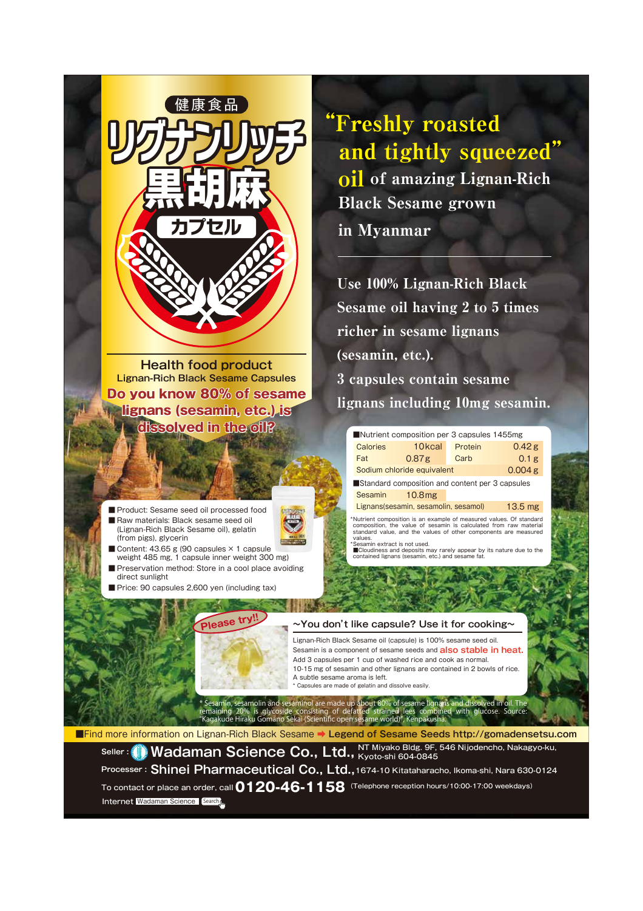